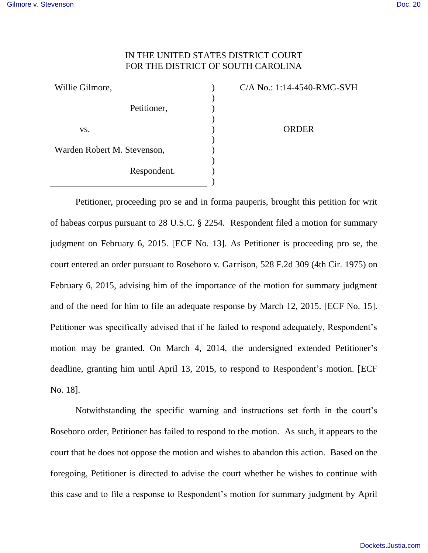## IN THE UNITED STATES DISTRICT COURT FOR THE DISTRICT OF SOUTH CAROLINA

| Willie Gilmore,             |             | $C/A$ No |
|-----------------------------|-------------|----------|
|                             |             |          |
| Petitioner,                 |             |          |
|                             |             |          |
| VS.                         |             |          |
|                             |             |          |
| Warden Robert M. Stevenson, |             |          |
|                             |             |          |
|                             | Respondent. |          |
|                             |             |          |

0.: 1:14-4540-RMG-SVH ORDER

Petitioner, proceeding pro se and in forma pauperis, brought this petition for writ of habeas corpus pursuant to 28 U.S.C. § 2254. Respondent filed a motion for summary judgment on February 6, 2015. [ECF No. 13]. As Petitioner is proceeding pro se, the court entered an order pursuant to Roseboro v. Garrison, 528 F.2d 309 (4th Cir. 1975) on February 6, 2015, advising him of the importance of the motion for summary judgment and of the need for him to file an adequate response by March 12, 2015. [ECF No. 15]. Petitioner was specifically advised that if he failed to respond adequately, Respondent's motion may be granted. On March 4, 2014, the undersigned extended Petitioner's deadline, granting him until April 13, 2015, to respond to Respondent's motion. [ECF No. 18].

Notwithstanding the specific warning and instructions set forth in the court's Roseboro order, Petitioner has failed to respond to the motion. As such, it appears to the court that he does not oppose the motion and wishes to abandon this action. Based on the foregoing, Petitioner is directed to advise the court whether he wishes to continue with this case and to file a response to Respondent's motion for summary judgment by April